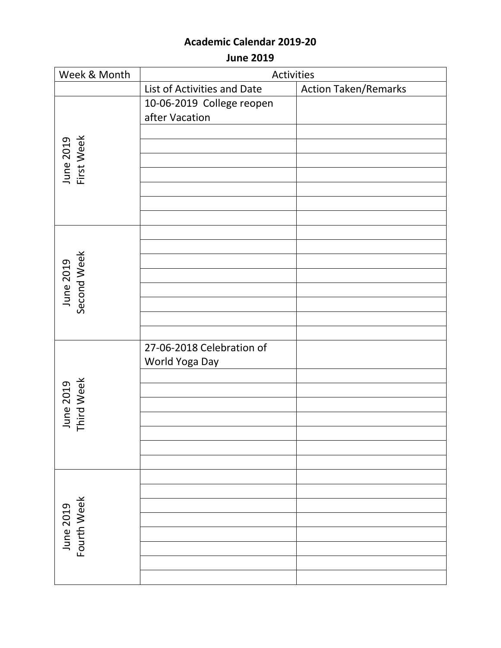**June 2019**

| Week & Month             | <b>Activities</b>           |                             |
|--------------------------|-----------------------------|-----------------------------|
|                          | List of Activities and Date | <b>Action Taken/Remarks</b> |
|                          | 10-06-2019 College reopen   |                             |
|                          | after Vacation              |                             |
|                          |                             |                             |
|                          |                             |                             |
|                          |                             |                             |
| June 2019<br>First Week  |                             |                             |
|                          |                             |                             |
|                          |                             |                             |
|                          |                             |                             |
|                          |                             |                             |
|                          |                             |                             |
| June 2019<br>Second Week |                             |                             |
|                          |                             |                             |
|                          |                             |                             |
|                          |                             |                             |
|                          |                             |                             |
|                          |                             |                             |
|                          | 27-06-2018 Celebration of   |                             |
|                          | World Yoga Day              |                             |
|                          |                             |                             |
|                          |                             |                             |
|                          |                             |                             |
| June 2019<br>Third Week  |                             |                             |
|                          |                             |                             |
|                          |                             |                             |
|                          |                             |                             |
| Fourth Week<br>June 2019 |                             |                             |
|                          |                             |                             |
|                          |                             |                             |
|                          |                             |                             |
|                          |                             |                             |
|                          |                             |                             |
|                          |                             |                             |
|                          |                             |                             |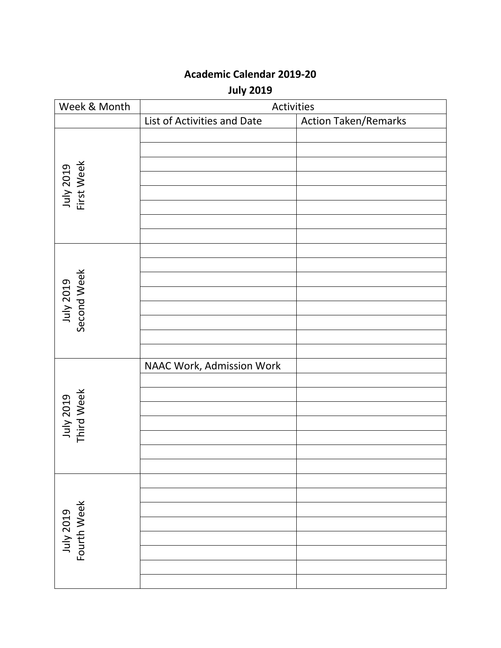**July 2019**

| Week & Month             | Activities                  |                             |
|--------------------------|-----------------------------|-----------------------------|
|                          | List of Activities and Date | <b>Action Taken/Remarks</b> |
| July 2019<br>First Week  |                             |                             |
| July 2019<br>Second Week |                             |                             |
| July 2019<br>Third Week  | NAAC Work, Admission Work   |                             |
| July 2019<br>Fourth Week |                             |                             |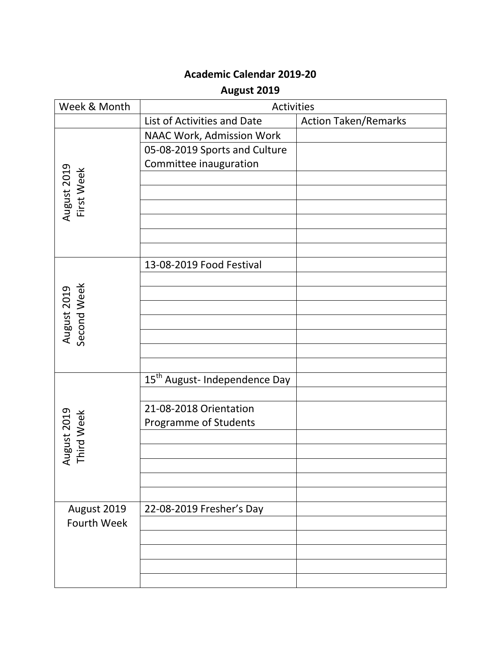### **August 2019**

| Week & Month               | <b>Activities</b>                         |                             |
|----------------------------|-------------------------------------------|-----------------------------|
|                            | List of Activities and Date               | <b>Action Taken/Remarks</b> |
|                            | NAAC Work, Admission Work                 |                             |
|                            | 05-08-2019 Sports and Culture             |                             |
|                            | Committee inauguration                    |                             |
|                            |                                           |                             |
|                            |                                           |                             |
| August 2019<br>First Week  |                                           |                             |
|                            |                                           |                             |
|                            |                                           |                             |
|                            |                                           |                             |
|                            | 13-08-2019 Food Festival                  |                             |
|                            |                                           |                             |
| August 2019<br>Second Week |                                           |                             |
|                            |                                           |                             |
|                            |                                           |                             |
|                            |                                           |                             |
|                            |                                           |                             |
|                            |                                           |                             |
|                            | 15 <sup>th</sup> August- Independence Day |                             |
|                            |                                           |                             |
|                            | 21-08-2018 Orientation                    |                             |
|                            | Programme of Students                     |                             |
|                            |                                           |                             |
| August 2019<br>Third Week  |                                           |                             |
|                            |                                           |                             |
|                            |                                           |                             |
|                            |                                           |                             |
| August 2019                | 22-08-2019 Fresher's Day                  |                             |
| Fourth Week                |                                           |                             |
|                            |                                           |                             |
|                            |                                           |                             |
|                            |                                           |                             |
|                            |                                           |                             |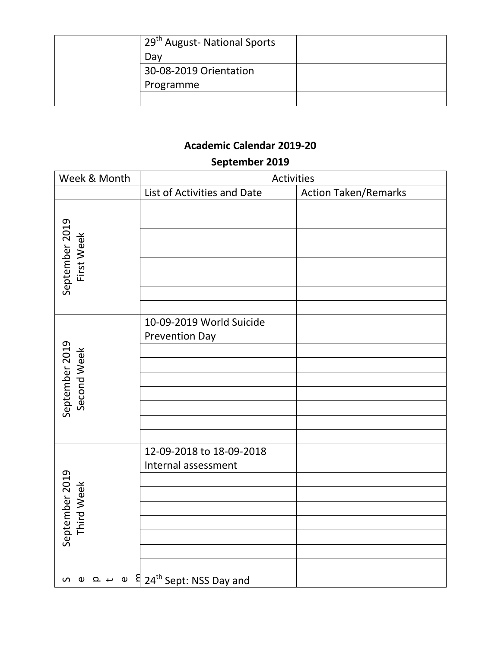| 29 <sup>th</sup> August- National Sports |  |
|------------------------------------------|--|
| Dav                                      |  |
| 30-08-2019 Orientation                   |  |
| Programme                                |  |
|                                          |  |

### **September 2019**

| Week & Month                  | Activities                                                                                                                                                                                                                                                                                                                                                                           |                             |
|-------------------------------|--------------------------------------------------------------------------------------------------------------------------------------------------------------------------------------------------------------------------------------------------------------------------------------------------------------------------------------------------------------------------------------|-----------------------------|
|                               | List of Activities and Date                                                                                                                                                                                                                                                                                                                                                          | <b>Action Taken/Remarks</b> |
| September 2019<br>First Week  |                                                                                                                                                                                                                                                                                                                                                                                      |                             |
| September 2019<br>Second Week | 10-09-2019 World Suicide<br><b>Prevention Day</b>                                                                                                                                                                                                                                                                                                                                    |                             |
| September 2019<br>Third Week  | 12-09-2018 to 18-09-2018<br>Internal assessment                                                                                                                                                                                                                                                                                                                                      |                             |
|                               | $\overline{u}$ $\overline{u}$ $\overline{u}$ $\overline{u}$ $\overline{v}$ $\overline{v}$ $\overline{v}$ $\overline{v}$ $\overline{v}$ $\overline{v}$ $\overline{v}$ $\overline{v}$ $\overline{v}$ $\overline{v}$ $\overline{v}$ $\overline{v}$ $\overline{v}$ $\overline{v}$ $\overline{v}$ $\overline{v}$ $\overline{v}$ $\overline{v}$ $\overline{v}$ $\overline{v}$ $\overline{$ |                             |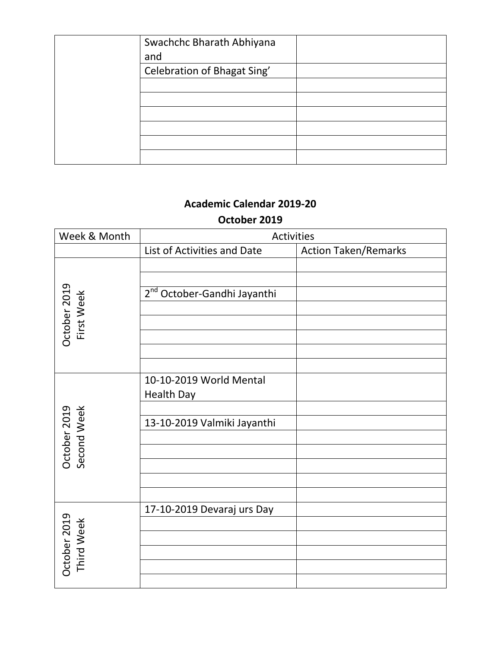| Swachchc Bharath Abhiyana   |  |
|-----------------------------|--|
| and                         |  |
| Celebration of Bhagat Sing' |  |
|                             |  |
|                             |  |
|                             |  |
|                             |  |
|                             |  |
|                             |  |

# **Academic Calendar 2019-20 October 2019**

| Week & Month                | Activities                                                                  |                             |
|-----------------------------|-----------------------------------------------------------------------------|-----------------------------|
|                             | List of Activities and Date                                                 | <b>Action Taken/Remarks</b> |
| October 2019<br>First Week  | 2 <sup>nd</sup> October-Gandhi Jayanthi                                     |                             |
| Second Week<br>October 2019 | 10-10-2019 World Mental<br><b>Health Day</b><br>13-10-2019 Valmiki Jayanthi |                             |
| October 2019<br>Third Week  | 17-10-2019 Devaraj urs Day                                                  |                             |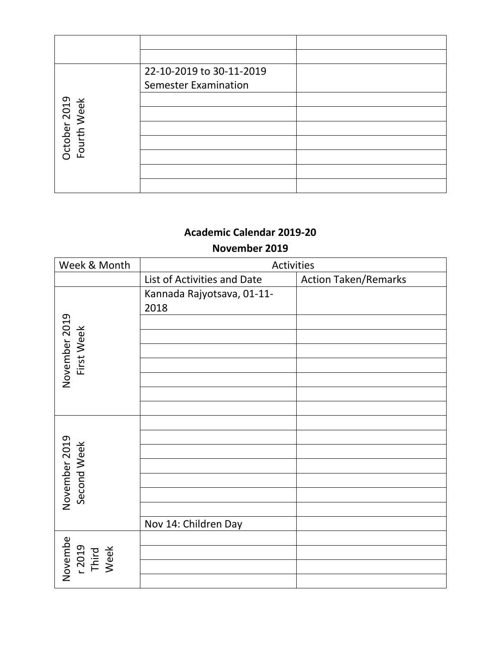|                             | 22-10-2019 to 30-11-2019    |  |
|-----------------------------|-----------------------------|--|
|                             | <b>Semester Examination</b> |  |
|                             |                             |  |
|                             |                             |  |
| October 2019<br>Fourth Week |                             |  |
|                             |                             |  |
|                             |                             |  |
|                             |                             |  |
|                             |                             |  |

#### **November 2019**

| Week & Month                       | Activities                  |                             |
|------------------------------------|-----------------------------|-----------------------------|
|                                    | List of Activities and Date | <b>Action Taken/Remarks</b> |
|                                    | Kannada Rajyotsava, 01-11-  |                             |
|                                    | 2018                        |                             |
|                                    |                             |                             |
|                                    |                             |                             |
| First Week                         |                             |                             |
| November 2019                      |                             |                             |
|                                    |                             |                             |
|                                    |                             |                             |
|                                    |                             |                             |
|                                    |                             |                             |
| November 2019<br>Second Week       |                             |                             |
|                                    |                             |                             |
|                                    |                             |                             |
|                                    |                             |                             |
|                                    |                             |                             |
|                                    |                             |                             |
|                                    | Nov 14: Children Day        |                             |
| Novembe<br>r 2019<br>Third<br>Week |                             |                             |
|                                    |                             |                             |
|                                    |                             |                             |
|                                    |                             |                             |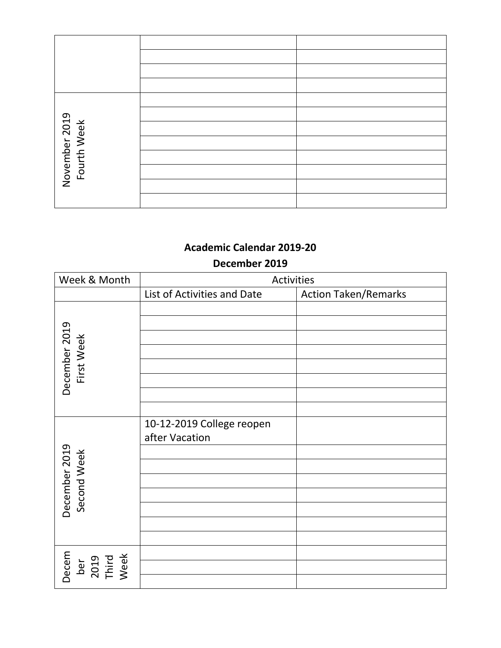| November 2019<br>Fourth Week |  |
|------------------------------|--|
|                              |  |
|                              |  |
|                              |  |
|                              |  |
|                              |  |

#### **December 2019**

| Week & Month                          | Activities                                  |                             |
|---------------------------------------|---------------------------------------------|-----------------------------|
|                                       | List of Activities and Date                 | <b>Action Taken/Remarks</b> |
| December 2019<br>First Week           |                                             |                             |
| December 2019<br>Second Week          | 10-12-2019 College reopen<br>after Vacation |                             |
| Decem<br>ber<br>2019<br>Third<br>Week |                                             |                             |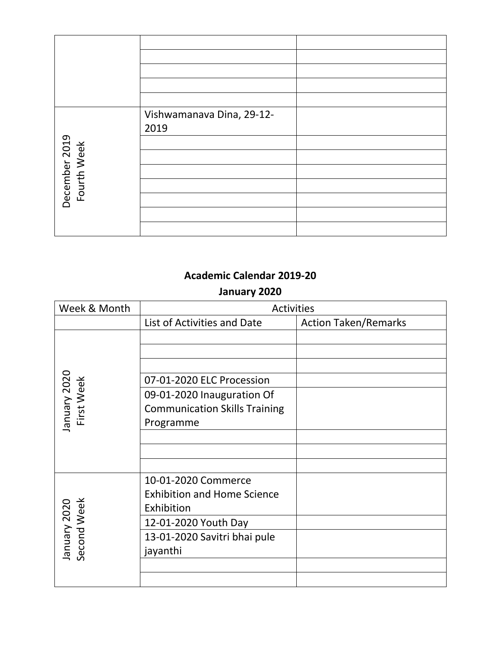| December 2019<br>Fourth Week | Vishwamanava Dina, 29-12-<br>2019 |  |
|------------------------------|-----------------------------------|--|
|                              |                                   |  |

### **January 2020**

| Week & Month                | <b>Activities</b>                                                       |                             |
|-----------------------------|-------------------------------------------------------------------------|-----------------------------|
|                             | List of Activities and Date                                             | <b>Action Taken/Remarks</b> |
| January 2020<br>First Week  | 07-01-2020 ELC Procession<br>09-01-2020 Inauguration Of                 |                             |
|                             | <b>Communication Skills Training</b><br>Programme                       |                             |
|                             |                                                                         |                             |
| Second Week<br>January 2020 | 10-01-2020 Commerce<br><b>Exhibition and Home Science</b><br>Exhibition |                             |
|                             | 12-01-2020 Youth Day                                                    |                             |
|                             | 13-01-2020 Savitri bhai pule<br>jayanthi                                |                             |
|                             |                                                                         |                             |
|                             |                                                                         |                             |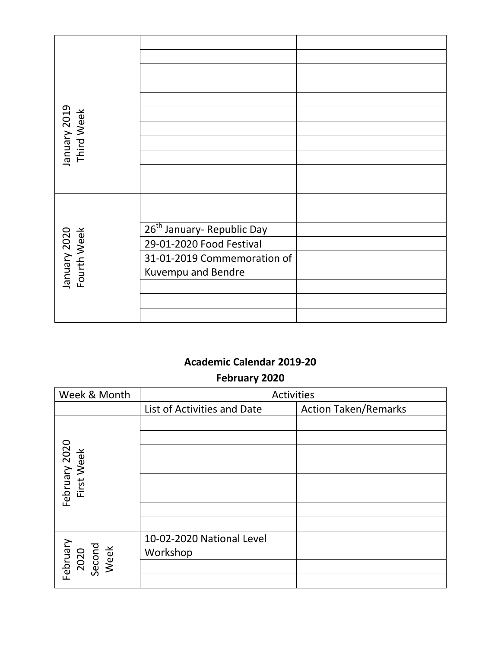| January 2019<br>Third Week  |                                                                                                                         |  |
|-----------------------------|-------------------------------------------------------------------------------------------------------------------------|--|
| January 2020<br>Fourth Week | 26 <sup>th</sup> January- Republic Day<br>29-01-2020 Food Festival<br>31-01-2019 Commemoration of<br>Kuvempu and Bendre |  |

**February 2020**

| Week & Month                       | Activities                  |                             |
|------------------------------------|-----------------------------|-----------------------------|
|                                    | List of Activities and Date | <b>Action Taken/Remarks</b> |
|                                    |                             |                             |
|                                    |                             |                             |
| February 2020<br>First Week        |                             |                             |
|                                    |                             |                             |
|                                    |                             |                             |
|                                    |                             |                             |
|                                    |                             |                             |
|                                    |                             |                             |
| February<br>2020<br>Second<br>Week | 10-02-2020 National Level   |                             |
|                                    | Workshop                    |                             |
|                                    |                             |                             |
|                                    |                             |                             |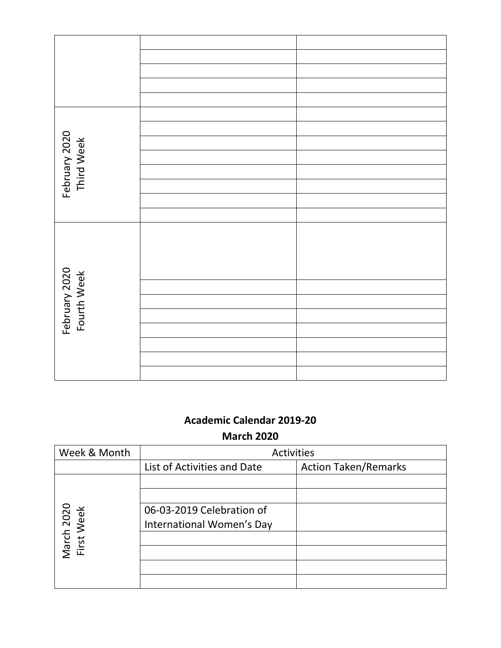| February 2020<br>Third Week  |  |
|------------------------------|--|
|                              |  |
|                              |  |
|                              |  |
|                              |  |
|                              |  |
|                              |  |
|                              |  |
|                              |  |
| February 2020<br>Fourth Week |  |
|                              |  |
|                              |  |
|                              |  |
|                              |  |
|                              |  |
|                              |  |
|                              |  |

**March 2020**

| Week & Month             | <b>Activities</b>           |                             |
|--------------------------|-----------------------------|-----------------------------|
|                          | List of Activities and Date | <b>Action Taken/Remarks</b> |
|                          |                             |                             |
|                          |                             |                             |
|                          | 06-03-2019 Celebration of   |                             |
|                          | International Women's Day   |                             |
| March 2020<br>First Week |                             |                             |
|                          |                             |                             |
|                          |                             |                             |
|                          |                             |                             |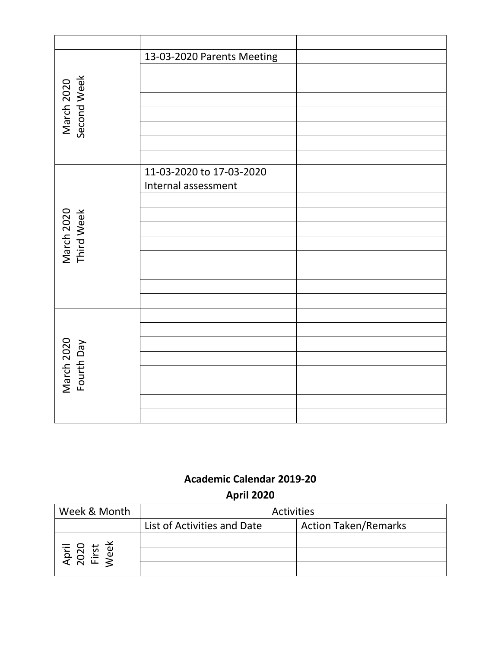|                           | 13-03-2020 Parents Meeting |
|---------------------------|----------------------------|
|                           |                            |
| Second Week<br>March 2020 |                            |
|                           |                            |
|                           |                            |
|                           |                            |
|                           |                            |
|                           |                            |
|                           | 11-03-2020 to 17-03-2020   |
|                           | Internal assessment        |
|                           |                            |
|                           |                            |
| March 2020<br>Third Week  |                            |
|                           |                            |
|                           |                            |
|                           |                            |
|                           |                            |
|                           |                            |
|                           |                            |
| March 2020<br>Fourth Day  |                            |
|                           |                            |
|                           |                            |
|                           |                            |
|                           |                            |
|                           |                            |

## **Academic Calendar 2019-20 April 2020**

| Week & Month                   | <b>Activities</b>           |                             |
|--------------------------------|-----------------------------|-----------------------------|
|                                | List of Activities and Date | <b>Action Taken/Remarks</b> |
|                                |                             |                             |
| April<br>2020<br>First<br>Veel |                             |                             |
|                                |                             |                             |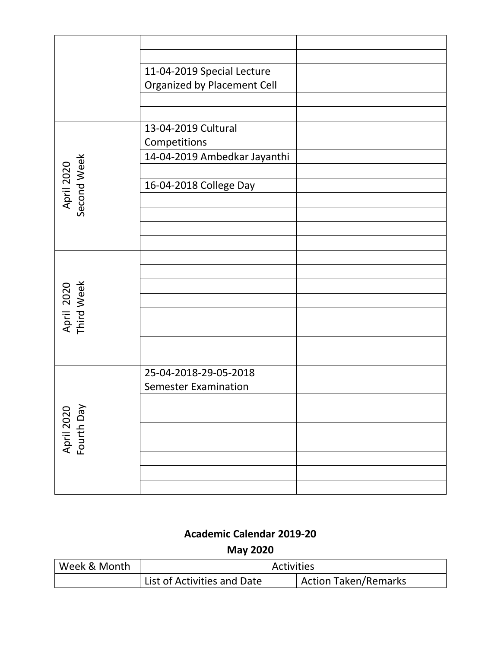|                           | 11-04-2019 Special Lecture   |  |
|---------------------------|------------------------------|--|
|                           | Organized by Placement Cell  |  |
|                           |                              |  |
|                           |                              |  |
|                           |                              |  |
|                           | 13-04-2019 Cultural          |  |
|                           | Competitions                 |  |
|                           | 14-04-2019 Ambedkar Jayanthi |  |
| April 2020<br>Second Week |                              |  |
|                           | 16-04-2018 College Day       |  |
|                           |                              |  |
|                           |                              |  |
|                           |                              |  |
|                           |                              |  |
|                           |                              |  |
|                           |                              |  |
|                           |                              |  |
|                           |                              |  |
| April 2020<br>Third Week  |                              |  |
|                           |                              |  |
|                           |                              |  |
|                           |                              |  |
|                           |                              |  |
|                           |                              |  |
|                           | 25-04-2018-29-05-2018        |  |
|                           | <b>Semester Examination</b>  |  |
|                           |                              |  |
| Fourth Day<br>April 2020  |                              |  |
|                           |                              |  |
|                           |                              |  |
|                           |                              |  |
|                           |                              |  |
|                           |                              |  |
|                           |                              |  |
|                           |                              |  |

| Week & Month | <b>Activities</b>           |                             |
|--------------|-----------------------------|-----------------------------|
|              | List of Activities and Date | <b>Action Taken/Remarks</b> |